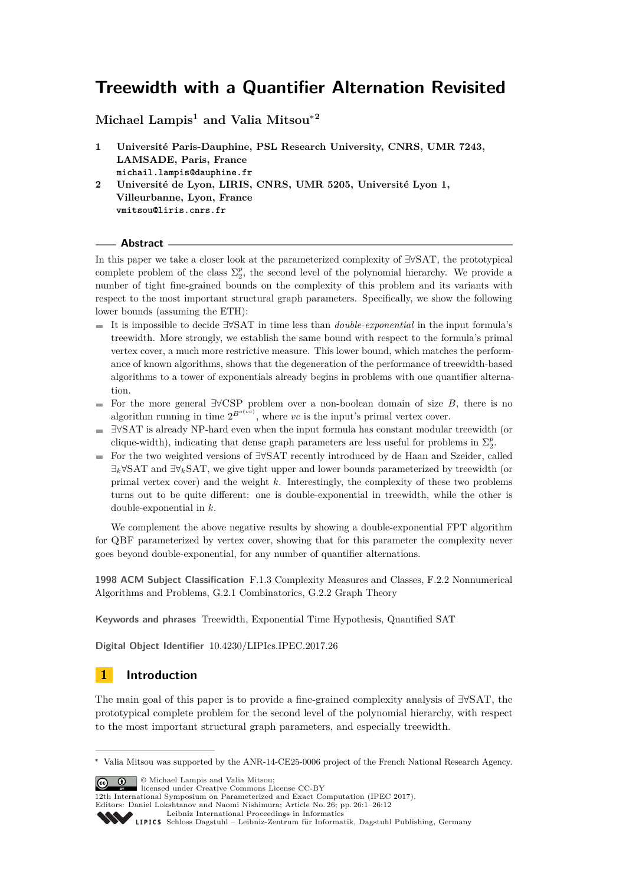# **Treewidth with a Quantifier Alternation Revisited**

**Michael Lampis<sup>1</sup> and Valia Mitsou**<sup>∗</sup>**<sup>2</sup>**

- **1 Université Paris-Dauphine, PSL Research University, CNRS, UMR 7243, LAMSADE, Paris, France michail.lampis@dauphine.fr 2 Université de Lyon, LIRIS, CNRS, UMR 5205, Université Lyon 1,**
- **Villeurbanne, Lyon, France vmitsou@liris.cnrs.fr**

**Abstract**

In this paper we take a closer look at the parameterized complexity of ∃∀SAT, the prototypical complete problem of the class  $\Sigma_2^p$ , the second level of the polynomial hierarchy. We provide a number of tight fine-grained bounds on the complexity of this problem and its variants with respect to the most important structural graph parameters. Specifically, we show the following lower bounds (assuming the ETH):

- It is impossible to decide ∃∀SAT in time less than *double-exponential* in the input formula's treewidth. More strongly, we establish the same bound with respect to the formula's primal vertex cover, a much more restrictive measure. This lower bound, which matches the performance of known algorithms, shows that the degeneration of the performance of treewidth-based algorithms to a tower of exponentials already begins in problems with one quantifier alternation.
- For the more general ∃∀CSP problem over a non-boolean domain of size *B*, there is no algorithm running in time  $2^{B^o(vc)}$ , where *vc* is the input's primal vertex cover.
- ∃∀SAT is already NP-hard even when the input formula has constant modular treewidth (or clique-width), indicating that dense graph parameters are less useful for problems in  $\Sigma_2^p$ .
- For the two weighted versions of ∃∀SAT recently introduced by de Haan and Szeider, called ∃*k*∀SAT and ∃∀*k*SAT, we give tight upper and lower bounds parameterized by treewidth (or primal vertex cover) and the weight *k*. Interestingly, the complexity of these two problems turns out to be quite different: one is double-exponential in treewidth, while the other is double-exponential in *k*.

We complement the above negative results by showing a double-exponential FPT algorithm for QBF parameterized by vertex cover, showing that for this parameter the complexity never goes beyond double-exponential, for any number of quantifier alternations.

**1998 ACM Subject Classification** F.1.3 Complexity Measures and Classes, F.2.2 Nonnumerical Algorithms and Problems, G.2.1 Combinatorics, G.2.2 Graph Theory

**Keywords and phrases** Treewidth, Exponential Time Hypothesis, Quantified SAT

**Digital Object Identifier** [10.4230/LIPIcs.IPEC.2017.26](http://dx.doi.org/10.4230/LIPIcs.IPEC.2017.26)

## **1 Introduction**

The main goal of this paper is to provide a fine-grained complexity analysis of ∃∀SAT, the prototypical complete problem for the second level of the polynomial hierarchy, with respect to the most important structural graph parameters, and especially treewidth.

**c**  $\bullet$  **0** Michael Lampis and Valia Mitsou:

licensed under Creative Commons License CC-BY

12th International Symposium on Parameterized and Exact Computation (IPEC 2017).

Editors: Daniel Lokshtanov and Naomi Nishimura; Article No. 26; pp. 26:1–26[:12](#page-11-0)



<sup>∗</sup> Valia Mitsou was supported by the ANR-14-CE25-0006 project of the French National Research Agency.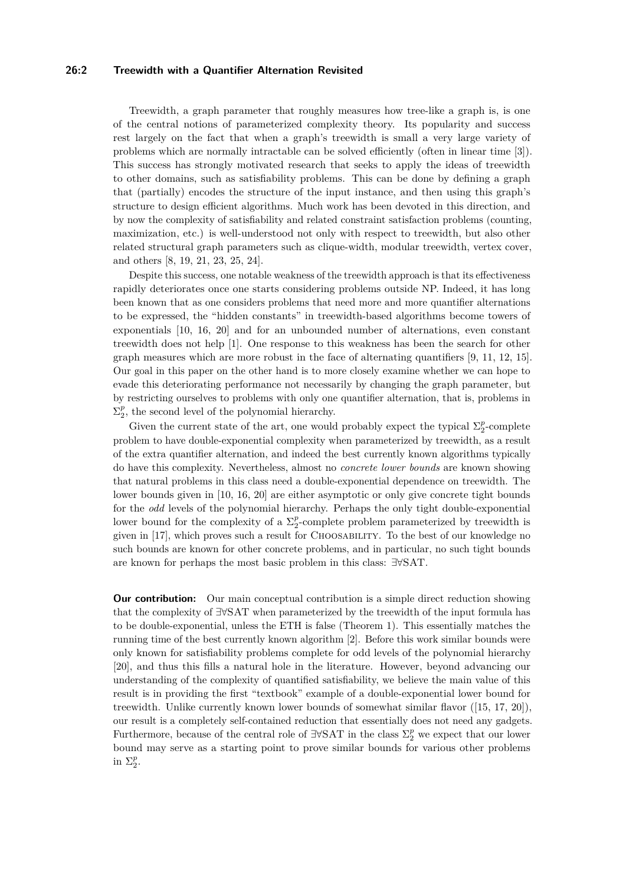#### **26:2 Treewidth with a Quantifier Alternation Revisited**

Treewidth, a graph parameter that roughly measures how tree-like a graph is, is one of the central notions of parameterized complexity theory. Its popularity and success rest largely on the fact that when a graph's treewidth is small a very large variety of problems which are normally intractable can be solved efficiently (often in linear time [\[3\]](#page-10-0)). This success has strongly motivated research that seeks to apply the ideas of treewidth to other domains, such as satisfiability problems. This can be done by defining a graph that (partially) encodes the structure of the input instance, and then using this graph's structure to design efficient algorithms. Much work has been devoted in this direction, and by now the complexity of satisfiability and related constraint satisfaction problems (counting, maximization, etc.) is well-understood not only with respect to treewidth, but also other related structural graph parameters such as clique-width, modular treewidth, vertex cover, and others [\[8,](#page-11-1) [19,](#page-11-2) [21,](#page-11-3) [23,](#page-11-4) [25,](#page-11-5) [24\]](#page-11-6).

Despite this success, one notable weakness of the treewidth approach is that its effectiveness rapidly deteriorates once one starts considering problems outside NP. Indeed, it has long been known that as one considers problems that need more and more quantifier alternations to be expressed, the "hidden constants" in treewidth-based algorithms become towers of exponentials [\[10,](#page-11-7) [16,](#page-11-8) [20\]](#page-11-9) and for an unbounded number of alternations, even constant treewidth does not help [\[1\]](#page-10-1). One response to this weakness has been the search for other graph measures which are more robust in the face of alternating quantifiers [\[9,](#page-11-10) [11,](#page-11-11) [12,](#page-11-12) [15\]](#page-11-13). Our goal in this paper on the other hand is to more closely examine whether we can hope to evade this deteriorating performance not necessarily by changing the graph parameter, but by restricting ourselves to problems with only one quantifier alternation, that is, problems in  $\Sigma_2^p$ , the second level of the polynomial hierarchy.

Given the current state of the art, one would probably expect the typical  $\Sigma_2^p$ -complete problem to have double-exponential complexity when parameterized by treewidth, as a result of the extra quantifier alternation, and indeed the best currently known algorithms typically do have this complexity. Nevertheless, almost no *concrete lower bounds* are known showing that natural problems in this class need a double-exponential dependence on treewidth. The lower bounds given in [\[10,](#page-11-7) [16,](#page-11-8) [20\]](#page-11-9) are either asymptotic or only give concrete tight bounds for the *odd* levels of the polynomial hierarchy. Perhaps the only tight double-exponential lower bound for the complexity of a  $\Sigma_2^p$ -complete problem parameterized by treewidth is given in [\[17\]](#page-11-14), which proves such a result for Choosability. To the best of our knowledge no such bounds are known for other concrete problems, and in particular, no such tight bounds are known for perhaps the most basic problem in this class: ∃∀SAT.

**Our contribution:** Our main conceptual contribution is a simple direct reduction showing that the complexity of ∃∀SAT when parameterized by the treewidth of the input formula has to be double-exponential, unless the ETH is false (Theorem [1\)](#page-4-0). This essentially matches the running time of the best currently known algorithm [\[2\]](#page-10-2). Before this work similar bounds were only known for satisfiability problems complete for odd levels of the polynomial hierarchy [\[20\]](#page-11-9), and thus this fills a natural hole in the literature. However, beyond advancing our understanding of the complexity of quantified satisfiability, we believe the main value of this result is in providing the first "textbook" example of a double-exponential lower bound for treewidth. Unlike currently known lower bounds of somewhat similar flavor ([\[15,](#page-11-13) [17,](#page-11-14) [20\]](#page-11-9)), our result is a completely self-contained reduction that essentially does not need any gadgets. Furthermore, because of the central role of  $\exists \forall$ SAT in the class  $\Sigma_2^p$  we expect that our lower bound may serve as a starting point to prove similar bounds for various other problems in  $\Sigma_2^p$ .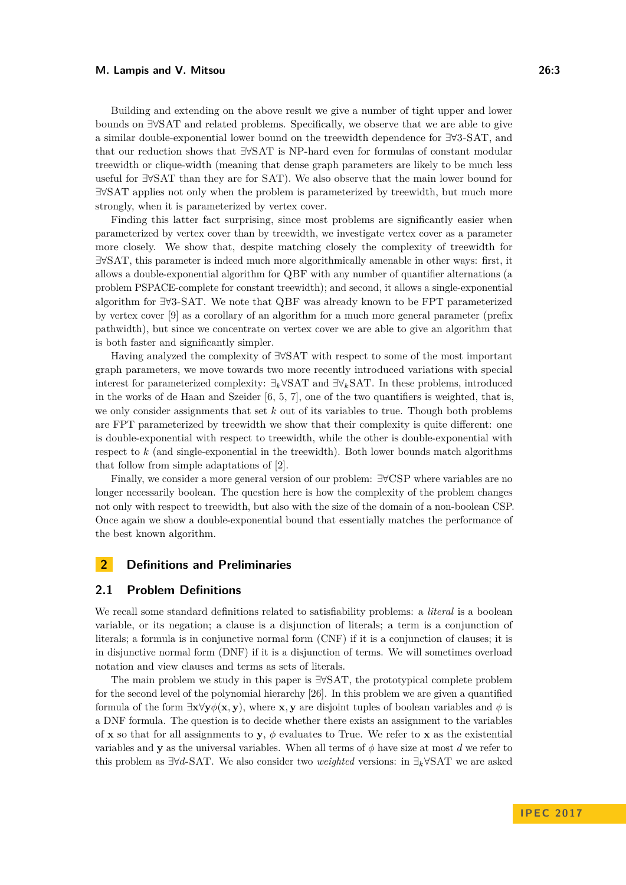#### **M. Lampis and V. Mitsou 26:3**

Building and extending on the above result we give a number of tight upper and lower bounds on ∃∀SAT and related problems. Specifically, we observe that we are able to give a similar double-exponential lower bound on the treewidth dependence for ∃∀3-SAT, and that our reduction shows that ∃∀SAT is NP-hard even for formulas of constant modular treewidth or clique-width (meaning that dense graph parameters are likely to be much less useful for ∃∀SAT than they are for SAT). We also observe that the main lower bound for ∃∀SAT applies not only when the problem is parameterized by treewidth, but much more strongly, when it is parameterized by vertex cover.

Finding this latter fact surprising, since most problems are significantly easier when parameterized by vertex cover than by treewidth, we investigate vertex cover as a parameter more closely. We show that, despite matching closely the complexity of treewidth for ∃∀SAT, this parameter is indeed much more algorithmically amenable in other ways: first, it allows a double-exponential algorithm for QBF with any number of quantifier alternations (a problem PSPACE-complete for constant treewidth); and second, it allows a single-exponential algorithm for ∃∀3-SAT. We note that QBF was already known to be FPT parameterized by vertex cover [\[9\]](#page-11-10) as a corollary of an algorithm for a much more general parameter (prefix pathwidth), but since we concentrate on vertex cover we are able to give an algorithm that is both faster and significantly simpler.

Having analyzed the complexity of ∃∀SAT with respect to some of the most important graph parameters, we move towards two more recently introduced variations with special interest for parameterized complexity: ∃*k*∀SAT and ∃∀*k*SAT. In these problems, introduced in the works of de Haan and Szeider [\[6,](#page-11-15) [5,](#page-10-3) [7\]](#page-11-16), one of the two quantifiers is weighted, that is, we only consider assignments that set *k* out of its variables to true. Though both problems are FPT parameterized by treewidth we show that their complexity is quite different: one is double-exponential with respect to treewidth, while the other is double-exponential with respect to *k* (and single-exponential in the treewidth). Both lower bounds match algorithms that follow from simple adaptations of [\[2\]](#page-10-2).

Finally, we consider a more general version of our problem: ∃∀CSP where variables are no longer necessarily boolean. The question here is how the complexity of the problem changes not only with respect to treewidth, but also with the size of the domain of a non-boolean CSP. Once again we show a double-exponential bound that essentially matches the performance of the best known algorithm.

## **2 Definitions and Preliminaries**

#### **2.1 Problem Definitions**

We recall some standard definitions related to satisfiability problems: a *literal* is a boolean variable, or its negation; a clause is a disjunction of literals; a term is a conjunction of literals; a formula is in conjunctive normal form (CNF) if it is a conjunction of clauses; it is in disjunctive normal form (DNF) if it is a disjunction of terms. We will sometimes overload notation and view clauses and terms as sets of literals.

The main problem we study in this paper is ∃∀SAT, the prototypical complete problem for the second level of the polynomial hierarchy [\[26\]](#page-11-17). In this problem we are given a quantified formula of the form  $\exists x \forall y \phi(x, y)$ , where **x**, **y** are disjoint tuples of boolean variables and  $\phi$  is a DNF formula. The question is to decide whether there exists an assignment to the variables of **x** so that for all assignments to **y**,  $\phi$  evaluates to True. We refer to **x** as the existential variables and **y** as the universal variables. When all terms of  $\phi$  have size at most *d* we refer to this problem as ∃∀*d*-SAT. We also consider two *weighted* versions: in ∃*k*∀SAT we are asked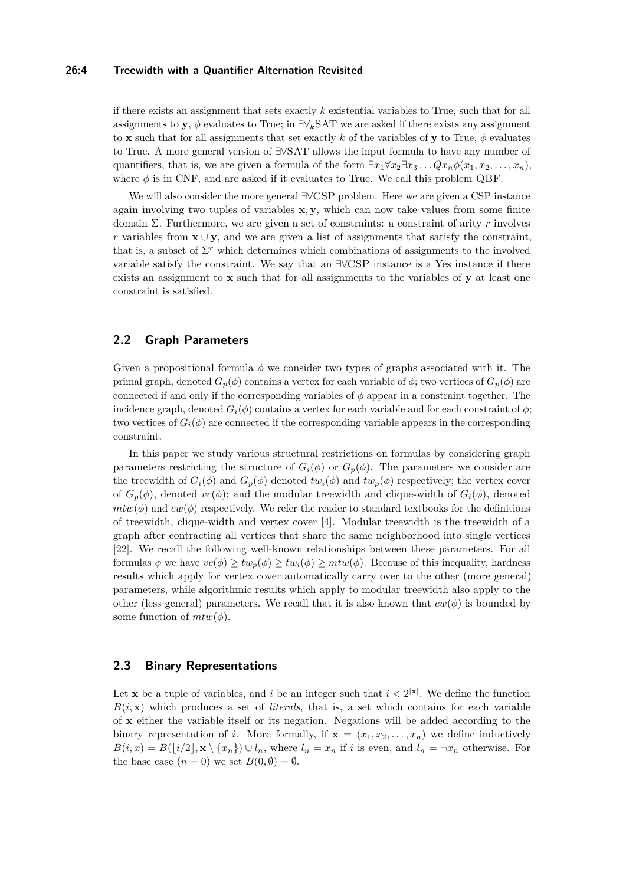#### **26:4 Treewidth with a Quantifier Alternation Revisited**

if there exists an assignment that sets exactly *k* existential variables to True, such that for all assignments to **y**,  $\phi$  evaluates to True; in  $\exists \forall_k$ SAT we are asked if there exists any assignment to **x** such that for all assignments that set exactly k of the variables of **y** to True,  $\phi$  evaluates to True. A more general version of ∃∀SAT allows the input formula to have any number of quantifiers, that is, we are given a formula of the form  $\exists x_1 \forall x_2 \exists x_3 \dots Q x_n \phi(x_1, x_2, \dots, x_n)$ , where  $\phi$  is in CNF, and are asked if it evaluates to True. We call this problem QBF.

We will also consider the more general ∃∀CSP problem. Here we are given a CSP instance again involving two tuples of variables **x***,* **y**, which can now take values from some finite domain Σ. Furthermore, we are given a set of constraints: a constraint of arity *r* involves *r* variables from **x** ∪ **y**, and we are given a list of assignments that satisfy the constraint, that is, a subset of  $\Sigma^r$  which determines which combinations of assignments to the involved variable satisfy the constraint. We say that an ∃∀CSP instance is a Yes instance if there exists an assignment to **x** such that for all assignments to the variables of **y** at least one constraint is satisfied.

## **2.2 Graph Parameters**

Given a propositional formula  $\phi$  we consider two types of graphs associated with it. The primal graph, denoted  $G_p(\phi)$  contains a vertex for each variable of  $\phi$ ; two vertices of  $G_p(\phi)$  are connected if and only if the corresponding variables of *φ* appear in a constraint together. The incidence graph, denoted  $G_i(\phi)$  contains a vertex for each variable and for each constraint of  $\phi$ ; two vertices of  $G_i(\phi)$  are connected if the corresponding variable appears in the corresponding constraint.

In this paper we study various structural restrictions on formulas by considering graph parameters restricting the structure of  $G_i(\phi)$  or  $G_p(\phi)$ . The parameters we consider are the treewidth of  $G_i(\phi)$  and  $G_p(\phi)$  denoted  $tw_i(\phi)$  and  $tw_p(\phi)$  respectively; the vertex cover of  $G_p(\phi)$ , denoted  $vc(\phi)$ ; and the modular treewidth and clique-width of  $G_i(\phi)$ , denoted  $mtw(\phi)$  and  $cw(\phi)$  respectively. We refer the reader to standard textbooks for the definitions of treewidth, clique-width and vertex cover [\[4\]](#page-10-4). Modular treewidth is the treewidth of a graph after contracting all vertices that share the same neighborhood into single vertices [\[22\]](#page-11-18). We recall the following well-known relationships between these parameters. For all formulas  $\phi$  we have  $vc(\phi) \geq tw_p(\phi) \geq tw_p(\phi) \geq mtw(\phi)$ . Because of this inequality, hardness results which apply for vertex cover automatically carry over to the other (more general) parameters, while algorithmic results which apply to modular treewidth also apply to the other (less general) parameters. We recall that it is also known that  $cw(\phi)$  is bounded by some function of  $mtw(\phi)$ .

## <span id="page-3-0"></span>**2.3 Binary Representations**

Let **x** be a tuple of variables, and *i* be an integer such that  $i < 2^{|x|}$ . We define the function  $B(i, \mathbf{x})$  which produces a set of *literals*, that is, a set which contains for each variable of **x** either the variable itself or its negation. Negations will be added according to the binary representation of *i*. More formally, if  $\mathbf{x} = (x_1, x_2, \dots, x_n)$  we define inductively  $B(i, x) = B(i/2, \mathbf{x} \setminus \{x_n\}) \cup l_n$ , where  $l_n = x_n$  if *i* is even, and  $l_n = \neg x_n$  otherwise. For the base case  $(n = 0)$  we set  $B(0, \emptyset) = \emptyset$ .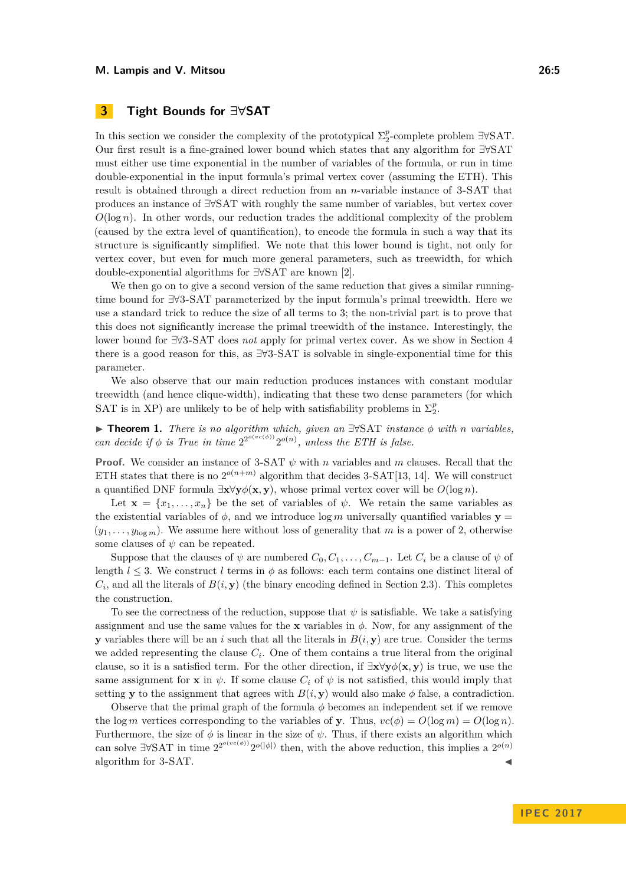## <span id="page-4-1"></span>**3 Tight Bounds for ∃∀SAT**

In this section we consider the complexity of the prototypical  $\Sigma_2^p$ -complete problem  $\exists \forall SAT$ . Our first result is a fine-grained lower bound which states that any algorithm for ∃∀SAT must either use time exponential in the number of variables of the formula, or run in time double-exponential in the input formula's primal vertex cover (assuming the ETH). This result is obtained through a direct reduction from an *n*-variable instance of 3-SAT that produces an instance of ∃∀SAT with roughly the same number of variables, but vertex cover  $O(\log n)$ . In other words, our reduction trades the additional complexity of the problem (caused by the extra level of quantification), to encode the formula in such a way that its structure is significantly simplified. We note that this lower bound is tight, not only for vertex cover, but even for much more general parameters, such as treewidth, for which double-exponential algorithms for ∃∀SAT are known [\[2\]](#page-10-2).

We then go on to give a second version of the same reduction that gives a similar runningtime bound for ∃∀3-SAT parameterized by the input formula's primal treewidth. Here we use a standard trick to reduce the size of all terms to 3; the non-trivial part is to prove that this does not significantly increase the primal treewidth of the instance. Interestingly, the lower bound for ∃∀3-SAT does *not* apply for primal vertex cover. As we show in Section [4](#page-5-0) there is a good reason for this, as ∃∀3-SAT is solvable in single-exponential time for this parameter.

We also observe that our main reduction produces instances with constant modular treewidth (and hence clique-width), indicating that these two dense parameters (for which SAT is in XP) are unlikely to be of help with satisfiability problems in  $\Sigma_2^p$ .

<span id="page-4-0"></span>I **Theorem 1.** *There is no algorithm which, given an* ∃∀SAT *instance φ with n variables, can decide if*  $\phi$  *is True in time*  $2^{2^{o(vc(\phi))}} 2^{o(n)}$ *, unless the ETH is false.* 

**Proof.** We consider an instance of 3-SAT *ψ* with *n* variables and *m* clauses. Recall that the ETH states that there is no  $2^{o(n+m)}$  algorithm that decides 3-SAT[\[13,](#page-11-19) [14\]](#page-11-20). We will construct a quantified DNF formula  $\exists x \forall y \phi(x, y)$ , whose primal vertex cover will be  $O(\log n)$ .

Let  $\mathbf{x} = \{x_1, \ldots, x_n\}$  be the set of variables of  $\psi$ . We retain the same variables as the existential variables of  $\phi$ , and we introduce log *m* universally quantified variables **y** =  $(y_1, \ldots, y_{\log m})$ . We assume here without loss of generality that *m* is a power of 2, otherwise some clauses of  $\psi$  can be repeated.

Suppose that the clauses of  $\psi$  are numbered  $C_0, C_1, \ldots, C_{m-1}$ . Let  $C_i$  be a clause of  $\psi$  of length  $l \leq 3$ . We construct l terms in  $\phi$  as follows: each term contains one distinct literal of  $C_i$ , and all the literals of  $B(i, y)$  (the binary encoding defined in Section [2.3\)](#page-3-0). This completes the construction.

To see the correctness of the reduction, suppose that  $\psi$  is satisfiable. We take a satisfying assignment and use the same values for the **x** variables in  $\phi$ . Now, for any assignment of the **y** variables there will be an *i* such that all the literals in  $B(i, y)$  are true. Consider the terms we added representing the clause  $C_i$ . One of them contains a true literal from the original clause, so it is a satisfied term. For the other direction, if  $\exists x \forall y \phi(x, y)$  is true, we use the same assignment for **x** in  $\psi$ . If some clause  $C_i$  of  $\psi$  is not satisfied, this would imply that setting **y** to the assignment that agrees with  $B(i, y)$  would also make  $\phi$  false, a contradiction.

Observe that the primal graph of the formula  $\phi$  becomes an independent set if we remove the log *m* vertices corresponding to the variables of **y**. Thus,  $vc(\phi) = O(\log m) = O(\log n)$ . Furthermore, the size of  $\phi$  is linear in the size of  $\psi$ . Thus, if there exists an algorithm which can solve  $\exists \forall SAT$  in time  $2^{2^{o(\nu c(\phi))}} 2^{o(|\phi|)}$  then, with the above reduction, this implies a  $2^{o(n)}$ algorithm for 3-SAT.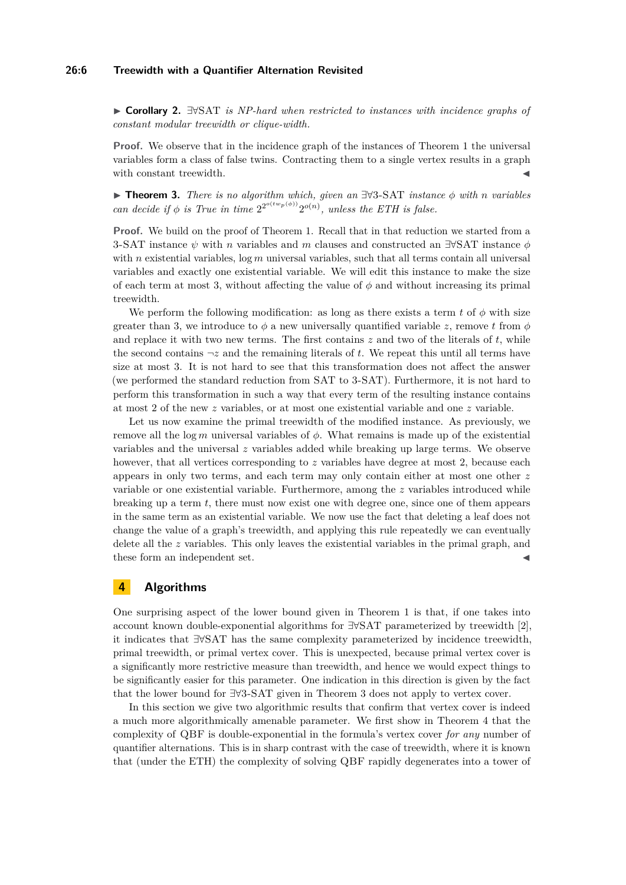#### **26:6 Treewidth with a Quantifier Alternation Revisited**

I **Corollary 2.** ∃∀SAT *is NP-hard when restricted to instances with incidence graphs of constant modular treewidth or clique-width.*

**Proof.** We observe that in the incidence graph of the instances of Theorem [1](#page-4-0) the universal variables form a class of false twins. Contracting them to a single vertex results in a graph with constant treewidth.

<span id="page-5-1"></span>I **Theorem 3.** *There is no algorithm which, given an* ∃∀3-SAT *instance φ with n variables can decide if*  $\phi$  *is True in time*  $2^{2^{o(tw_p(\phi))}} 2^{o(n)}$ *, unless the ETH is false.* 

**Proof.** We build on the proof of Theorem [1.](#page-4-0) Recall that in that reduction we started from a 3-SAT instance *ψ* with *n* variables and *m* clauses and constructed an ∃∀SAT instance *φ* with *n* existential variables, log *m* universal variables, such that all terms contain all universal variables and exactly one existential variable. We will edit this instance to make the size of each term at most 3, without affecting the value of  $\phi$  and without increasing its primal treewidth.

We perform the following modification: as long as there exists a term  $t$  of  $\phi$  with size greater than 3, we introduce to  $\phi$  a new universally quantified variable *z*, remove *t* from  $\phi$ and replace it with two new terms. The first contains  $z$  and two of the literals of  $t$ , while the second contains  $\neg z$  and the remaining literals of *t*. We repeat this until all terms have size at most 3. It is not hard to see that this transformation does not affect the answer (we performed the standard reduction from SAT to 3-SAT). Furthermore, it is not hard to perform this transformation in such a way that every term of the resulting instance contains at most 2 of the new *z* variables, or at most one existential variable and one *z* variable.

Let us now examine the primal treewidth of the modified instance. As previously, we remove all the log *m* universal variables of  $\phi$ . What remains is made up of the existential variables and the universal *z* variables added while breaking up large terms. We observe however, that all vertices corresponding to z variables have degree at most 2, because each appears in only two terms, and each term may only contain either at most one other *z* variable or one existential variable. Furthermore, among the *z* variables introduced while breaking up a term *t*, there must now exist one with degree one, since one of them appears in the same term as an existential variable. We now use the fact that deleting a leaf does not change the value of a graph's treewidth, and applying this rule repeatedly we can eventually delete all the *z* variables. This only leaves the existential variables in the primal graph, and these form an independent set.

## <span id="page-5-0"></span>**4 Algorithms**

One surprising aspect of the lower bound given in Theorem [1](#page-4-0) is that, if one takes into account known double-exponential algorithms for ∃∀SAT parameterized by treewidth [\[2\]](#page-10-2), it indicates that ∃∀SAT has the same complexity parameterized by incidence treewidth, primal treewidth, or primal vertex cover. This is unexpected, because primal vertex cover is a significantly more restrictive measure than treewidth, and hence we would expect things to be significantly easier for this parameter. One indication in this direction is given by the fact that the lower bound for ∃∀3-SAT given in Theorem [3](#page-5-1) does not apply to vertex cover.

In this section we give two algorithmic results that confirm that vertex cover is indeed a much more algorithmically amenable parameter. We first show in Theorem [4](#page-6-0) that the complexity of QBF is double-exponential in the formula's vertex cover *for any* number of quantifier alternations. This is in sharp contrast with the case of treewidth, where it is known that (under the ETH) the complexity of solving QBF rapidly degenerates into a tower of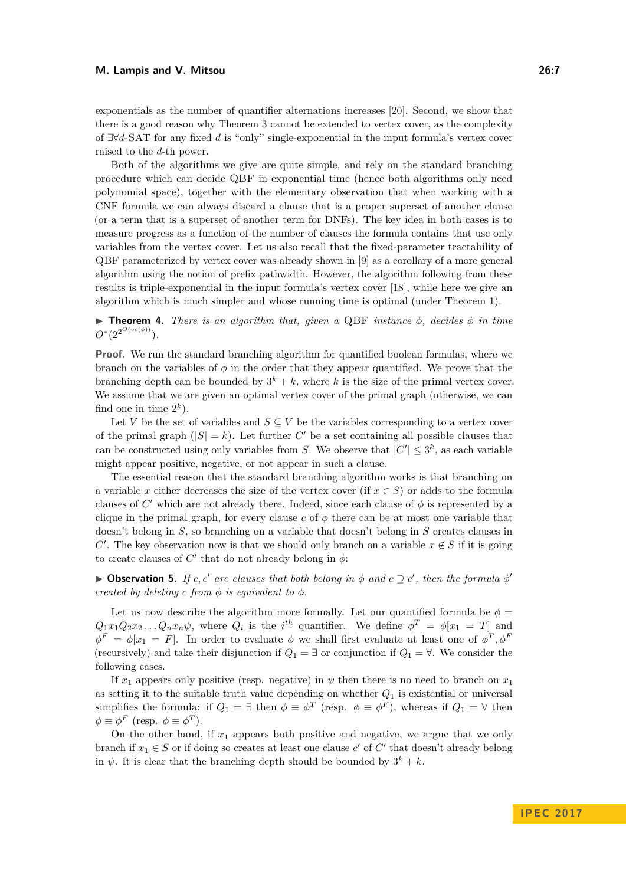#### **M. Lampis and V. Mitsou 26:7**

exponentials as the number of quantifier alternations increases [\[20\]](#page-11-9). Second, we show that there is a good reason why Theorem [3](#page-5-1) cannot be extended to vertex cover, as the complexity of ∃∀*d*-SAT for any fixed *d* is "only" single-exponential in the input formula's vertex cover raised to the *d*-th power.

Both of the algorithms we give are quite simple, and rely on the standard branching procedure which can decide QBF in exponential time (hence both algorithms only need polynomial space), together with the elementary observation that when working with a CNF formula we can always discard a clause that is a proper superset of another clause (or a term that is a superset of another term for DNFs). The key idea in both cases is to measure progress as a function of the number of clauses the formula contains that use only variables from the vertex cover. Let us also recall that the fixed-parameter tractability of QBF parameterized by vertex cover was already shown in [\[9\]](#page-11-10) as a corollary of a more general algorithm using the notion of prefix pathwidth. However, the algorithm following from these results is triple-exponential in the input formula's vertex cover [\[18\]](#page-11-21), while here we give an algorithm which is much simpler and whose running time is optimal (under Theorem [1\)](#page-4-0).

<span id="page-6-0"></span>**Findment 4.** There is an algorithm that, given a QBF instance  $\phi$ , decides  $\phi$  in time  $O^*(2^{2^{O(vc(\phi))}}).$ 

**Proof.** We run the standard branching algorithm for quantified boolean formulas, where we branch on the variables of  $\phi$  in the order that they appear quantified. We prove that the branching depth can be bounded by  $3^k + k$ , where k is the size of the primal vertex cover. We assume that we are given an optimal vertex cover of the primal graph (otherwise, we can find one in time  $2^k$ ).

Let *V* be the set of variables and  $S \subseteq V$  be the variables corresponding to a vertex cover of the primal graph  $(|S| = k)$ . Let further C' be a set containing all possible clauses that can be constructed using only variables from *S*. We observe that  $|C'| \leq 3^k$ , as each variable might appear positive, negative, or not appear in such a clause.

The essential reason that the standard branching algorithm works is that branching on a variable *x* either decreases the size of the vertex cover (if  $x \in S$ ) or adds to the formula clauses of  $C'$  which are not already there. Indeed, since each clause of  $\phi$  is represented by a clique in the primal graph, for every clause  $c$  of  $\phi$  there can be at most one variable that doesn't belong in *S*, so branching on a variable that doesn't belong in *S* creates clauses in *C*'. The key observation now is that we should only branch on a variable  $x \notin S$  if it is going to create clauses of  $C'$  that do not already belong in  $\phi$ :

<span id="page-6-1"></span>**Dbservation 5.** *If c, c'* are clauses that both belong in  $\phi$  and  $c \supseteq c'$ , then the formula  $\phi'$ *created by deleting c from*  $\phi$  *is equivalent to*  $\phi$ *.* 

Let us now describe the algorithm more formally. Let our quantified formula be  $\phi =$  $Q_1x_1Q_2x_2...Q_nx_n\psi$ , where  $Q_i$  is the *i*<sup>th</sup> quantifier. We define  $\phi^T = \phi[x_1 = T]$  and  $\phi^F = \phi[x_1 = F]$ . In order to evaluate  $\phi$  we shall first evaluate at least one of  $\phi^T$ ,  $\phi^F$ (recursively) and take their disjunction if  $Q_1 = \exists$  or conjunction if  $Q_1 = \forall$ . We consider the following cases.

If  $x_1$  appears only positive (resp. negative) in  $\psi$  then there is no need to branch on  $x_1$ as setting it to the suitable truth value depending on whether *Q*<sup>1</sup> is existential or universal simplifies the formula: if  $Q_1 = \exists$  then  $\phi \equiv \phi^T$  (resp.  $\phi \equiv \phi^F$ ), whereas if  $Q_1 = \forall$  then  $\phi \equiv \phi^F$  (resp.  $\phi \equiv \phi^T$ ).

On the other hand, if  $x_1$  appears both positive and negative, we argue that we only branch if  $x_1 \in S$  or if doing so creates at least one clause  $c'$  of  $C'$  that doesn't already belong in  $\psi$ . It is clear that the branching depth should be bounded by  $3^k + k$ .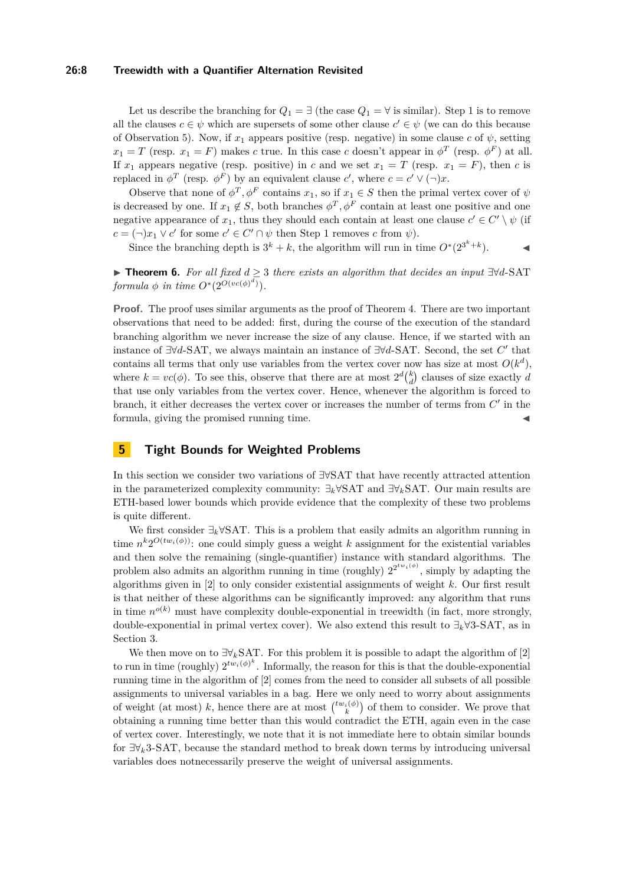#### **26:8 Treewidth with a Quantifier Alternation Revisited**

Let us describe the branching for  $Q_1 = \exists$  (the case  $Q_1 = \forall$  is similar). Step 1 is to remove all the clauses  $c \in \psi$  which are supersets of some other clause  $c' \in \psi$  (we can do this because of Observation [5\)](#page-6-1). Now, if  $x_1$  appears positive (resp. negative) in some clause *c* of  $\psi$ , setting  $x_1 = T$  (resp.  $x_1 = F$ ) makes *c* true. In this case *c* doesn't appear in  $\phi^T$  (resp.  $\phi^F$ ) at all. If  $x_1$  appears negative (resp. positive) in *c* and we set  $x_1 = T$  (resp.  $x_1 = F$ ), then *c* is replaced in  $\phi^T$  (resp.  $\phi^F$ ) by an equivalent clause *c*', where  $c = c' \vee (\neg)x$ .

Observe that none of  $\phi^T$ ,  $\phi^F$  contains  $x_1$ , so if  $x_1 \in S$  then the primal vertex cover of  $\psi$ is decreased by one. If  $x_1 \notin S$ , both branches  $\phi^T$ ,  $\phi^F$  contain at least one positive and one negative appearance of  $x_1$ , thus they should each contain at least one clause  $c' \in C' \setminus \psi$  (if  $c = (\neg)x_1 \lor c'$  for some  $c' \in C' \cap \psi$  then Step 1 removes *c* from  $\psi$ ).

Since the branching depth is  $3^k + k$ , the algorithm will run in time  $O^*(2^{3^k+k})$ .

**► Theorem 6.** For all fixed  $d \geq 3$  there exists an algorithm that decides an input  $\exists \forall d$ -SAT *formula*  $\phi$  *in time*  $O^*(2^{O(vc(\phi)^d)})$ .

**Proof.** The proof uses similar arguments as the proof of Theorem [4.](#page-6-0) There are two important observations that need to be added: first, during the course of the execution of the standard branching algorithm we never increase the size of any clause. Hence, if we started with an instance of ∃∀*d*-SAT, we always maintain an instance of ∃∀*d*-SAT. Second, the set *C* 0 that contains all terms that only use variables from the vertex cover now has size at most  $O(k^d)$ , where  $k = vc(\phi)$ . To see this, observe that there are at most  $2^d {k \choose d}$  clauses of size exactly *d* that use only variables from the vertex cover. Hence, whenever the algorithm is forced to branch, it either decreases the vertex cover or increases the number of terms from  $C'$  in the formula, giving the promised running time.

## **5 Tight Bounds for Weighted Problems**

In this section we consider two variations of ∃∀SAT that have recently attracted attention in the parameterized complexity community: ∃*k*∀SAT and ∃∀*k*SAT. Our main results are ETH-based lower bounds which provide evidence that the complexity of these two problems is quite different.

We first consider ∃*k*∀SAT. This is a problem that easily admits an algorithm running in time  $n^k 2^{O(tw_i(\phi))}$ : one could simply guess a weight *k* assignment for the existential variables and then solve the remaining (single-quantifier) instance with standard algorithms. The problem also admits an algorithm running in time (roughly)  $2^{2^{tw_i(\phi)}}$ , simply by adapting the algorithms given in [\[2\]](#page-10-2) to only consider existential assignments of weight *k*. Our first result is that neither of these algorithms can be significantly improved: any algorithm that runs in time  $n^{o(k)}$  must have complexity double-exponential in treewidth (in fact, more strongly, double-exponential in primal vertex cover). We also extend this result to ∃*k*∀3-SAT, as in Section [3.](#page-4-1)

We then move on to ∃∀*k*SAT. For this problem it is possible to adapt the algorithm of [\[2\]](#page-10-2) to run in time (roughly)  $2^{tw_i(\phi)^k}$ . Informally, the reason for this is that the double-exponential running time in the algorithm of [\[2\]](#page-10-2) comes from the need to consider all subsets of all possible assignments to universal variables in a bag. Here we only need to worry about assignments of weight (at most) k, hence there are at most  $\binom{tw_i(\phi)}{k}$  of them to consider. We prove that obtaining a running time better than this would contradict the ETH, again even in the case of vertex cover. Interestingly, we note that it is not immediate here to obtain similar bounds for ∃∀*k*3-SAT, because the standard method to break down terms by introducing universal variables does notnecessarily preserve the weight of universal assignments.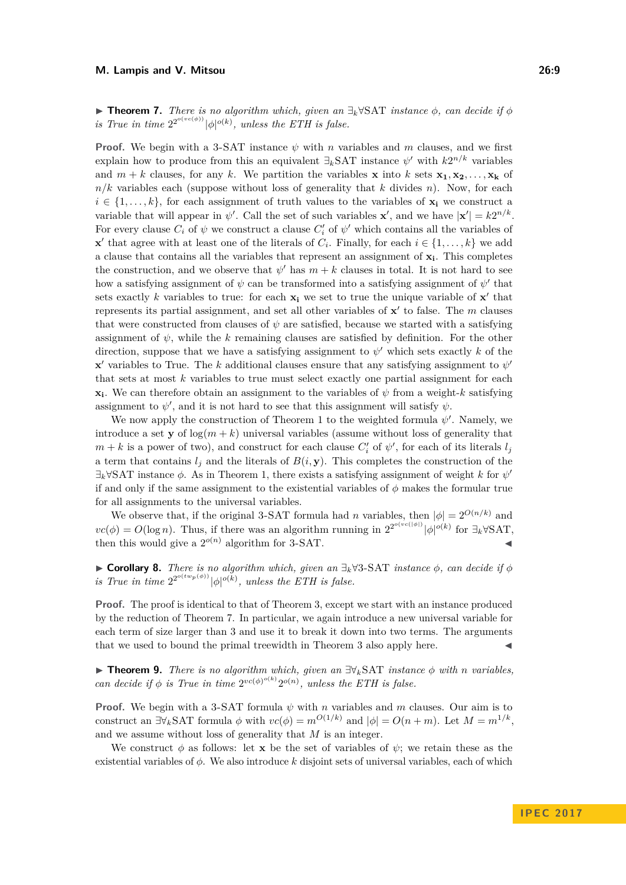<span id="page-8-0"></span>**► Theorem 7.** *There is no algorithm which, given an*  $\exists_k \forall SAT$  *instance*  $\phi$ *, can decide if*  $\phi$ *is True in time*  $2^{2^{o(vc(\phi))}} |\phi|^{o(k)}$ , unless the ETH is false.

**Proof.** We begin with a 3-SAT instance  $\psi$  with *n* variables and *m* clauses, and we first explain how to produce from this an equivalent  $\exists_k$ SAT instance  $\psi'$  with  $k2^{n/k}$  variables and  $m + k$  clauses, for any k. We partition the variables **x** into k sets  $\mathbf{x}_1, \mathbf{x}_2, \ldots, \mathbf{x}_k$  of  $n/k$  variables each (suppose without loss of generality that *k* divides *n*). Now, for each  $i \in \{1, \ldots, k\}$ , for each assignment of truth values to the variables of  $\mathbf{x}_i$  we construct a variable that will appear in  $\psi'$ . Call the set of such variables **x**', and we have  $|\mathbf{x}'| = k2^{n/k}$ . For every clause  $C_i$  of  $\psi$  we construct a clause  $C'_i$  of  $\psi'$  which contains all the variables of **x**  $\mathbf{x}'$  that agree with at least one of the literals of  $C_i$ . Finally, for each  $i \in \{1, \ldots, k\}$  we add a clause that contains all the variables that represent an assignment of **x<sup>i</sup>** . This completes the construction, and we observe that  $\psi'$  has  $m + k$  clauses in total. It is not hard to see how a satisfying assignment of  $\psi$  can be transformed into a satisfying assignment of  $\psi'$  that sets exactly k variables to true: for each  $x_i$  we set to true the unique variable of  $x'$  that represents its partial assignment, and set all other variables of  $x'$  to false. The  $m$  clauses that were constructed from clauses of  $\psi$  are satisfied, because we started with a satisfying assignment of  $\psi$ , while the *k* remaining clauses are satisfied by definition. For the other direction, suppose that we have a satisfying assignment to  $\psi'$  which sets exactly k of the **x**<sup> $\prime$ </sup> variables to True. The *k* additional clauses ensure that any satisfying assignment to  $\psi$ that sets at most *k* variables to true must select exactly one partial assignment for each  $\mathbf{x}_i$ . We can therefore obtain an assignment to the variables of  $\psi$  from a weight-*k* satisfying assignment to  $\psi'$ , and it is not hard to see that this assignment will satisfy  $\psi$ .

We now apply the construction of Theorem [1](#page-4-0) to the weighted formula  $\psi'$ . Namely, we introduce a set **y** of  $\log(m + k)$  universal variables (assume without loss of generality that  $m + k$  is a power of two), and construct for each clause  $C_i'$  of  $\psi'$ , for each of its literals  $l_j$ a term that contains  $l_i$  and the literals of  $B(i, y)$ . This completes the construction of the  $\exists_k \forall$ SAT instance  $\phi$ . As in Theorem [1,](#page-4-0) there exists a satisfying assignment of weight *k* for  $\psi'$ if and only if the same assignment to the existential variables of  $\phi$  makes the formular true for all assignments to the universal variables.

We observe that, if the original 3-SAT formula had *n* variables, then  $|\phi| = 2^{O(n/k)}$  and  $vc(\phi) = O(\log n)$ . Thus, if there was an algorithm running in  $2^{2^{o(vc(\lvert \phi \rvert))}}|\phi|^{o(k)}$  for  $\exists_k \forall$ SAT, then this would give a  $2^{o(n)}$  algorithm for 3-SAT.

 $\triangleright$  **Corollary 8.** *There is no algorithm which, given an*  $\exists_k$ ∀3-SAT *instance*  $\phi$ *, can decide if*  $\phi$ *is True in time*  $2^{2^{o(twp(\phi))}} |\phi|^{o(k)}$ , unless the ETH is false.

**Proof.** The proof is identical to that of Theorem [3,](#page-5-1) except we start with an instance produced by the reduction of Theorem [7.](#page-8-0) In particular, we again introduce a new universal variable for each term of size larger than 3 and use it to break it down into two terms. The arguments that we used to bound the primal treewidth in Theorem [3](#page-5-1) also apply here.

I **Theorem 9.** *There is no algorithm which, given an* ∃∀*k*SAT *instance φ with n variables, can decide if*  $\phi$  *is True in time*  $2^{vc(\phi)^{o(k)}} 2^{o(n)}$ *, unless the ETH is false.* 

**Proof.** We begin with a 3-SAT formula  $\psi$  with *n* variables and *m* clauses. Our aim is to construct an  $\exists \forall_k$ SAT formula  $\phi$  with  $vc(\phi) = m^{O(1/k)}$  and  $|\phi| = O(n+m)$ . Let  $M = m^{1/k}$ , and we assume without loss of generality that *M* is an integer.

We construct  $\phi$  as follows: let **x** be the set of variables of  $\psi$ ; we retain these as the existential variables of *φ*. We also introduce *k* disjoint sets of universal variables, each of which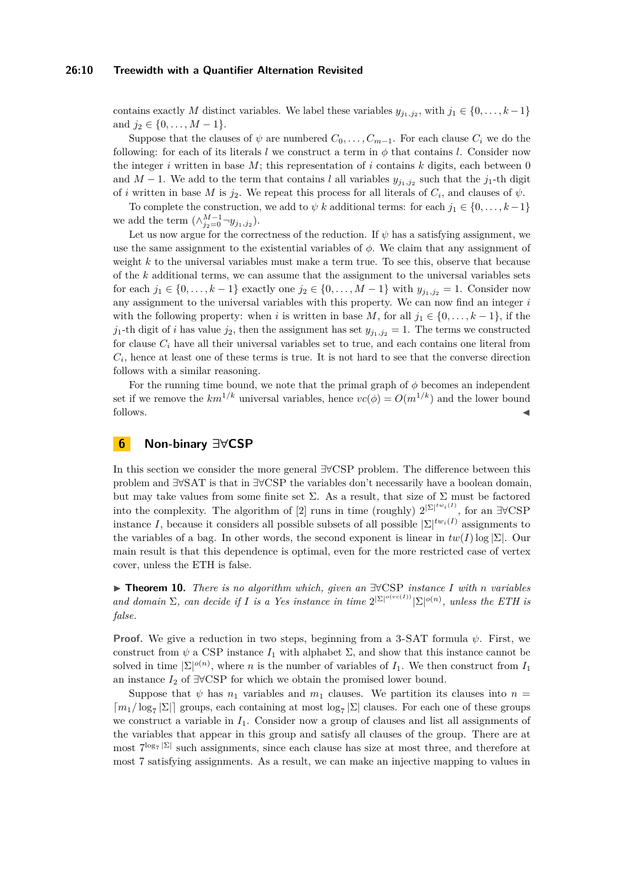#### **26:10 Treewidth with a Quantifier Alternation Revisited**

contains exactly *M* distinct variables. We label these variables  $y_{j_1,j_2}$ , with  $j_1 \in \{0,\ldots,k-1\}$ and  $j_2 \in \{0, \ldots, M-1\}.$ 

Suppose that the clauses of  $\psi$  are numbered  $C_0, \ldots, C_{m-1}$ . For each clause  $C_i$  we do the following: for each of its literals *l* we construct a term in  $\phi$  that contains *l*. Consider now the integer  $i$  written in base  $M$ ; this representation of  $i$  contains  $k$  digits, each between  $0$ and  $M-1$ . We add to the term that contains *l* all variables  $y_{j_1,j_2}$  such that the  $j_1$ -th digit of *i* written in base *M* is  $j_2$ . We repeat this process for all literals of  $C_i$ , and clauses of  $\psi$ .

To complete the construction, we add to  $\psi$  k additional terms: for each  $j_1 \in \{0, \ldots, k-1\}$ we add the term  $(\wedge_{j_2=0}^{M-1} \neg y_{j_1,j_2}).$ 

Let us now argue for the correctness of the reduction. If  $\psi$  has a satisfying assignment, we use the same assignment to the existential variables of *φ*. We claim that any assignment of weight *k* to the universal variables must make a term true. To see this, observe that because of the *k* additional terms, we can assume that the assignment to the universal variables sets for each *j*<sub>1</sub> ∈ {0, . . . , *k* − 1} exactly one *j*<sub>2</sub> ∈ {0, . . . , *M* − 1} with  $y_{j_1,j_2} = 1$ . Consider now any assignment to the universal variables with this property. We can now find an integer *i* with the following property: when *i* is written in base M, for all  $j_1 \in \{0, \ldots, k-1\}$ , if the *j*<sub>1</sub>-th digit of *i* has value *j*<sub>2</sub>, then the assignment has set  $y_{j_1,j_2} = 1$ . The terms we constructed for clause *C<sup>i</sup>* have all their universal variables set to true, and each contains one literal from  $C_i$ , hence at least one of these terms is true. It is not hard to see that the converse direction follows with a similar reasoning.

For the running time bound, we note that the primal graph of *φ* becomes an independent set if we remove the  $km^{1/k}$  universal variables, hence  $vc(\phi) = O(m^{1/k})$  and the lower bound follows.

## **6 Non-binary ∃∀CSP**

In this section we consider the more general ∃∀CSP problem. The difference between this problem and ∃∀SAT is that in ∃∀CSP the variables don't necessarily have a boolean domain, but may take values from some finite set  $\Sigma$ . As a result, that size of  $\Sigma$  must be factored into the complexity. The algorithm of [\[2\]](#page-10-2) runs in time (roughly)  $2^{|\Sigma|^{tw_i(I)}}$ , for an  $\exists \forall \text{CSP}$ instance *I*, because it considers all possible subsets of all possible  $|\Sigma|^{tw_i(I)}$  assignments to the variables of a bag. In other words, the second exponent is linear in  $tw(I) \log |\Sigma|$ . Our main result is that this dependence is optimal, even for the more restricted case of vertex cover, unless the ETH is false.

I **Theorem 10.** *There is no algorithm which, given an* ∃∀CSP *instance I with n variables* and domain  $\Sigma$ , can decide if *I* is a Yes instance in time  $2^{|\Sigma|^{o(v \in (I))}} |\Sigma|^{o(n)}$ , unless the ETH is *false.*

**Proof.** We give a reduction in two steps, beginning from a 3-SAT formula *ψ*. First, we construct from  $\psi$  a CSP instance  $I_1$  with alphabet  $\Sigma$ , and show that this instance cannot be solved in time  $|\Sigma|^{o(n)}$ , where *n* is the number of variables of  $I_1$ . We then construct from  $I_1$ an instance *I*<sup>2</sup> of ∃∀CSP for which we obtain the promised lower bound.

Suppose that  $\psi$  has  $n_1$  variables and  $m_1$  clauses. We partition its clauses into  $n =$  $\lceil m_1/\log_7 |\Sigma| \rceil$  groups, each containing at most  $\log_7 |\Sigma|$  clauses. For each one of these groups we construct a variable in *I*1. Consider now a group of clauses and list all assignments of the variables that appear in this group and satisfy all clauses of the group. There are at most  $7^{\log_7 |\Sigma|}$  such assignments, since each clause has size at most three, and therefore at most 7 satisfying assignments. As a result, we can make an injective mapping to values in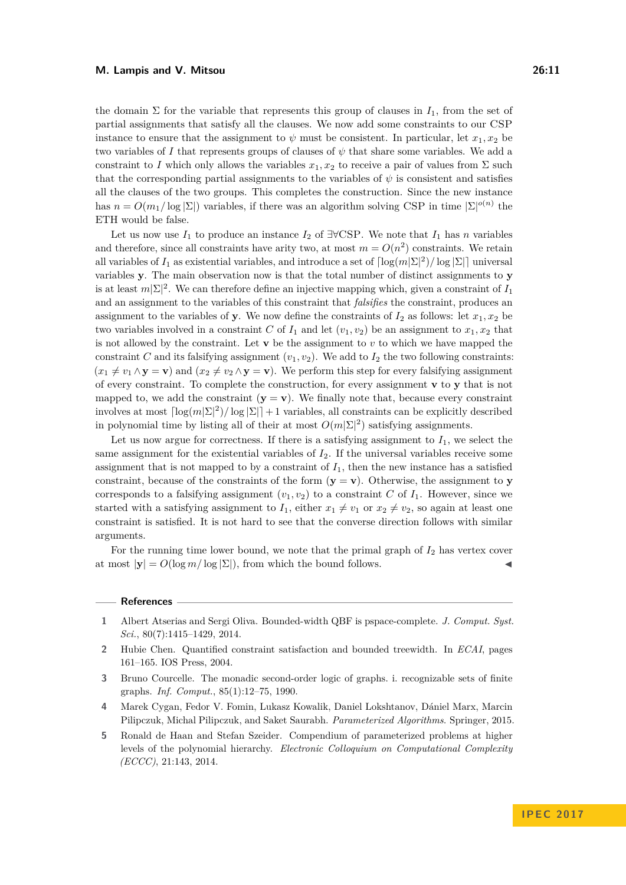the domain  $\Sigma$  for the variable that represents this group of clauses in  $I_1$ , from the set of partial assignments that satisfy all the clauses. We now add some constraints to our CSP instance to ensure that the assignment to  $\psi$  must be consistent. In particular, let  $x_1, x_2$  be two variables of *I* that represents groups of clauses of  $\psi$  that share some variables. We add a constraint to *I* which only allows the variables  $x_1, x_2$  to receive a pair of values from  $\Sigma$  such that the corresponding partial assignments to the variables of  $\psi$  is consistent and satisfies all the clauses of the two groups. This completes the construction. Since the new instance has  $n = O(m_1/\log |\Sigma|)$  variables, if there was an algorithm solving CSP in time  $|\Sigma|^{o(n)}$  the ETH would be false.

Let us now use  $I_1$  to produce an instance  $I_2$  of  $\exists \forall \text{CSP}$ . We note that  $I_1$  has *n* variables and therefore, since all constraints have arity two, at most  $m = O(n^2)$  constraints. We retain all variables of  $I_1$  as existential variables, and introduce a set of  $\lceil \log(m|\Sigma|^2) / \log |\Sigma| \rceil$  universal variables **y**. The main observation now is that the total number of distinct assignments to **y** is at least  $m|\Sigma|^2$ . We can therefore define an injective mapping which, given a constraint of  $I_1$ and an assignment to the variables of this constraint that *falsifies* the constraint, produces an assignment to the variables of **y**. We now define the constraints of  $I_2$  as follows: let  $x_1, x_2$  be two variables involved in a constraint *C* of  $I_1$  and let  $(v_1, v_2)$  be an assignment to  $x_1, x_2$  that is not allowed by the constraint. Let  $\bf{v}$  be the assignment to  $v$  to which we have mapped the constraint *C* and its falsifying assignment  $(v_1, v_2)$ . We add to  $I_2$  the two following constraints:  $(x_1 \neq v_1 \land y = v)$  and  $(x_2 \neq v_2 \land y = v)$ . We perform this step for every falsifying assignment of every constraint. To complete the construction, for every assignment **v** to **y** that is not mapped to, we add the constraint  $(y = v)$ . We finally note that, because every constraint involves at most  $\lceil \log(m|\Sigma|^2)/\log |\Sigma|\rceil + 1$  variables, all constraints can be explicitly described in polynomial time by listing all of their at most  $O(m|\Sigma|^2)$  satisfying assignments.

Let us now argue for correctness. If there is a satisfying assignment to  $I_1$ , we select the same assignment for the existential variables of *I*2. If the universal variables receive some assignment that is not mapped to by a constraint of  $I_1$ , then the new instance has a satisfied constraint, because of the constraints of the form  $(\mathbf{y} = \mathbf{v})$ . Otherwise, the assignment to **y** corresponds to a falsifying assignment  $(v_1, v_2)$  to a constraint *C* of  $I_1$ . However, since we started with a satisfying assignment to  $I_1$ , either  $x_1 \neq v_1$  or  $x_2 \neq v_2$ , so again at least one constraint is satisfied. It is not hard to see that the converse direction follows with similar arguments.

For the running time lower bound, we note that the primal graph of *I*<sup>2</sup> has vertex cover at most  $|\mathbf{y}| = O(\log m / \log |\Sigma|)$ , from which the bound follows.

#### **References**

- <span id="page-10-1"></span>**1** Albert Atserias and Sergi Oliva. Bounded-width QBF is pspace-complete. *J. Comput. Syst. Sci.*, 80(7):1415–1429, 2014.
- <span id="page-10-2"></span>**2** Hubie Chen. Quantified constraint satisfaction and bounded treewidth. In *ECAI*, pages 161–165. IOS Press, 2004.
- <span id="page-10-0"></span>**3** Bruno Courcelle. The monadic second-order logic of graphs. i. recognizable sets of finite graphs. *Inf. Comput.*, 85(1):12–75, 1990.
- <span id="page-10-4"></span>**4** Marek Cygan, Fedor V. Fomin, Lukasz Kowalik, Daniel Lokshtanov, Dániel Marx, Marcin Pilipczuk, Michal Pilipczuk, and Saket Saurabh. *Parameterized Algorithms*. Springer, 2015.
- <span id="page-10-3"></span>**5** Ronald de Haan and Stefan Szeider. Compendium of parameterized problems at higher levels of the polynomial hierarchy. *Electronic Colloquium on Computational Complexity (ECCC)*, 21:143, 2014.